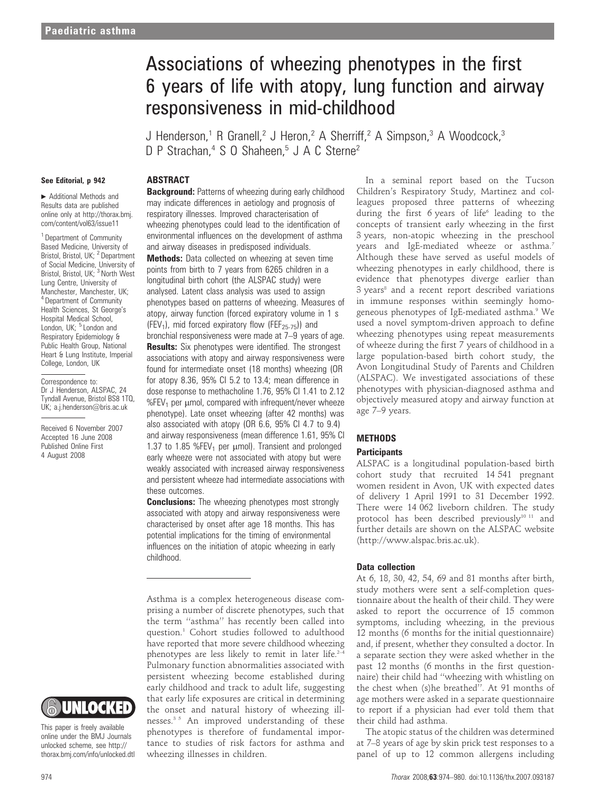# Associations of wheezing phenotypes in the first 6 years of life with atopy, lung function and airway responsiveness in mid-childhood

J Henderson,<sup>1</sup> R Granell,<sup>2</sup> J Heron,<sup>2</sup> A Sherriff,<sup>2</sup> A Simpson,<sup>3</sup> A Woodcock,<sup>3</sup> D P Strachan.<sup>4</sup> S O Shaheen.<sup>5</sup> J A C Sterne<sup>2</sup>

#### See Editorial, p 942

Additional Methods and Results data are published online only at http://thorax.bmj. com/content/vol63/issue11

<sup>1</sup> Department of Community Based Medicine, University of Bristol, Bristol, UK; <sup>2</sup> Department of Social Medicine, University of Bristol, Bristol, UK; <sup>3</sup> North West Lung Centre, University of Manchester, Manchester, UK; <sup>4</sup> Department of Community Health Sciences, St George's Hospital Medical School, London, UK; <sup>5</sup> London and Respiratory Epidemiology & Public Health Group, National Heart & Lung Institute, Imperial College, London, UK

Correspondence to: Dr J Henderson, ALSPAC, 24 Tyndall Avenue, Bristol BS8 1TQ, UK; a.j.henderson@bris.ac.uk

Received 6 November 2007 Accepted 16 June 2008 Published Online First 4 August 2008



This paper is freely available online under the BMJ Journals unlocked scheme, see http:// thorax.bmj.com/info/unlocked.dtl

## **ABSTRACT**

**Background:** Patterns of wheezing during early childhood may indicate differences in aetiology and prognosis of respiratory illnesses. Improved characterisation of wheezing phenotypes could lead to the identification of environmental influences on the development of asthma and airway diseases in predisposed individuals.

**Methods:** Data collected on wheezing at seven time points from birth to 7 years from 6265 children in a longitudinal birth cohort (the ALSPAC study) were analysed. Latent class analysis was used to assign phenotypes based on patterns of wheezing. Measures of atopy, airway function (forced expiratory volume in 1 s (FEV<sub>1</sub>), mid forced expiratory flow (FEF<sub>25-75</sub>)) and bronchial responsiveness were made at 7–9 years of age. **Results:** Six phenotypes were identified. The strongest associations with atopy and airway responsiveness were found for intermediate onset (18 months) wheezing (OR for atopy 8.36, 95% CI 5.2 to 13.4; mean difference in dose response to methacholine 1.76, 95% CI 1.41 to 2.12 %FEV<sub>1</sub> per  $\mu$ mol, compared with infrequent/never wheeze phenotype). Late onset wheezing (after 42 months) was also associated with atopy (OR 6.6, 95% CI 4.7 to 9.4) and airway responsiveness (mean difference 1.61, 95% CI 1.37 to 1.85 %FEV<sub>1</sub> per  $\mu$ mol). Transient and prolonged early wheeze were not associated with atopy but were weakly associated with increased airway responsiveness and persistent wheeze had intermediate associations with these outcomes.

**Conclusions:** The wheezing phenotypes most strongly associated with atopy and airway responsiveness were characterised by onset after age 18 months. This has potential implications for the timing of environmental influences on the initiation of atopic wheezing in early childhood.

Asthma is a complex heterogeneous disease comprising a number of discrete phenotypes, such that the term ''asthma'' has recently been called into question.1 Cohort studies followed to adulthood have reported that more severe childhood wheezing phenotypes are less likely to remit in later life. $2-4$ Pulmonary function abnormalities associated with persistent wheezing become established during early childhood and track to adult life, suggesting that early life exposures are critical in determining the onset and natural history of wheezing illnesses.<sup>35</sup> An improved understanding of these phenotypes is therefore of fundamental importance to studies of risk factors for asthma and wheezing illnesses in children.

In a seminal report based on the Tucson Children's Respiratory Study, Martinez and colleagues proposed three patterns of wheezing during the first 6 years of life<sup>6</sup> leading to the concepts of transient early wheezing in the first 3 years, non-atopic wheezing in the preschool years and IgE-mediated wheeze or asthma.7 Although these have served as useful models of wheezing phenotypes in early childhood, there is evidence that phenotypes diverge earlier than 3 years<sup>8</sup> and a recent report described variations in immune responses within seemingly homogeneous phenotypes of IgE-mediated asthma.<sup>9</sup> We used a novel symptom-driven approach to define wheezing phenotypes using repeat measurements of wheeze during the first 7 years of childhood in a large population-based birth cohort study, the Avon Longitudinal Study of Parents and Children (ALSPAC). We investigated associations of these phenotypes with physician-diagnosed asthma and objectively measured atopy and airway function at age 7–9 years.

#### **METHODS**

#### **Participants**

ALSPAC is a longitudinal population-based birth cohort study that recruited 14 541 pregnant women resident in Avon, UK with expected dates of delivery 1 April 1991 to 31 December 1992. There were 14 062 liveborn children. The study protocol has been described previously<sup>10 11</sup> and further details are shown on the ALSPAC website (http://www.alspac.bris.ac.uk).

#### Data collection

At 6, 18, 30, 42, 54, 69 and 81 months after birth, study mothers were sent a self-completion questionnaire about the health of their child. They were asked to report the occurrence of 15 common symptoms, including wheezing, in the previous 12 months (6 months for the initial questionnaire) and, if present, whether they consulted a doctor. In a separate section they were asked whether in the past 12 months (6 months in the first questionnaire) their child had ''wheezing with whistling on the chest when (s)he breathed''. At 91 months of age mothers were asked in a separate questionnaire to report if a physician had ever told them that their child had asthma.

The atopic status of the children was determined at 7–8 years of age by skin prick test responses to a panel of up to 12 common allergens including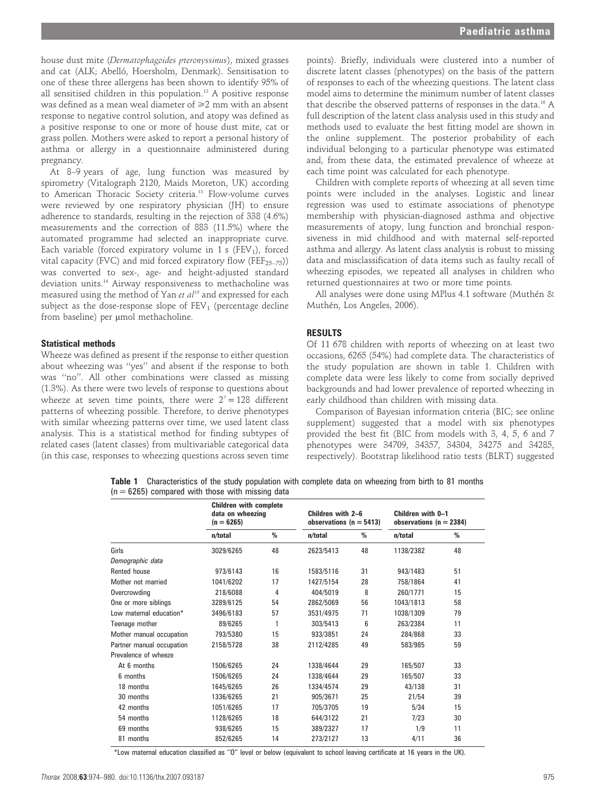house dust mite (Dermatophagoides pteronyssinus), mixed grasses and cat (ALK; Abelló, Hoersholm, Denmark). Sensitisation to one of these three allergens has been shown to identify 95% of all sensitised children in this population.<sup>12</sup> A positive response was defined as a mean weal diameter of  $\geq 2$  mm with an absent response to negative control solution, and atopy was defined as a positive response to one or more of house dust mite, cat or grass pollen. Mothers were asked to report a personal history of asthma or allergy in a questionnaire administered during pregnancy.

At 8–9 years of age, lung function was measured by spirometry (Vitalograph 2120, Maids Moreton, UK) according to American Thoracic Society criteria.13 Flow-volume curves were reviewed by one respiratory physician (JH) to ensure adherence to standards, resulting in the rejection of 338 (4.6%) measurements and the correction of 883 (11.5%) where the automated programme had selected an inappropriate curve. Each variable (forced expiratory volume in 1 s (FEV<sub>1</sub>), forced vital capacity (FVC) and mid forced expiratory flow (FEF $_{25-75}$ )) was converted to sex-, age- and height-adjusted standard deviation units.<sup>14</sup> Airway responsiveness to methacholine was measured using the method of Yan et  $aI^{15}$  and expressed for each subject as the dose-response slope of  $FEV<sub>1</sub>$  (percentage decline from baseline) per umol methacholine.

#### Statistical methods

Wheeze was defined as present if the response to either question about wheezing was ''yes'' and absent if the response to both was ''no''. All other combinations were classed as missing (1.3%). As there were two levels of response to questions about wheeze at seven time points, there were  $2^7 = 128$  different patterns of wheezing possible. Therefore, to derive phenotypes with similar wheezing patterns over time, we used latent class analysis. This is a statistical method for finding subtypes of related cases (latent classes) from multivariable categorical data (in this case, responses to wheezing questions across seven time

points). Briefly, individuals were clustered into a number of discrete latent classes (phenotypes) on the basis of the pattern of responses to each of the wheezing questions. The latent class model aims to determine the minimum number of latent classes that describe the observed patterns of responses in the data.<sup>16</sup> A full description of the latent class analysis used in this study and methods used to evaluate the best fitting model are shown in the online supplement. The posterior probability of each individual belonging to a particular phenotype was estimated and, from these data, the estimated prevalence of wheeze at each time point was calculated for each phenotype.

Children with complete reports of wheezing at all seven time points were included in the analyses. Logistic and linear regression was used to estimate associations of phenotype membership with physician-diagnosed asthma and objective measurements of atopy, lung function and bronchial responsiveness in mid childhood and with maternal self-reported asthma and allergy. As latent class analysis is robust to missing data and misclassification of data items such as faulty recall of wheezing episodes, we repeated all analyses in children who returned questionnaires at two or more time points.

All analyses were done using MPlus 4.1 software (Muthén & Muthén, Los Angeles, 2006).

### RESULTS

Of 11 678 children with reports of wheezing on at least two occasions, 6265 (54%) had complete data. The characteristics of the study population are shown in table 1. Children with complete data were less likely to come from socially deprived backgrounds and had lower prevalence of reported wheezing in early childhood than children with missing data.

Comparison of Bayesian information criteria (BIC; see online supplement) suggested that a model with six phenotypes provided the best fit (BIC from models with 3, 4, 5, 6 and 7 phenotypes were 34709, 34357, 34304, 34275 and 34285, respectively). Bootstrap likelihood ratio tests (BLRT) suggested

Table 1 Characteristics of the study population with complete data on wheezing from birth to 81 months  $(n = 6265)$  compared with those with missing data

|                           | <b>Children with complete</b><br>data on wheezing<br>$(n = 6265)$ |    | Children with 2-6           |      | Children with 0-1           |    |
|---------------------------|-------------------------------------------------------------------|----|-----------------------------|------|-----------------------------|----|
|                           |                                                                   |    | observations ( $n = 5413$ ) |      | observations ( $n = 2384$ ) |    |
|                           | n/total                                                           | %  | n/total                     | $\%$ | n/total                     | %  |
| Girls                     | 3029/6265                                                         | 48 | 2623/5413                   | 48   | 1138/2382                   | 48 |
| Demographic data          |                                                                   |    |                             |      |                             |    |
| <b>Rented house</b>       | 973/6143                                                          | 16 | 1583/5116                   | 31   | 943/1483                    | 51 |
| Mother not married        | 1041/6202                                                         | 17 | 1427/5154                   | 28   | 758/1864                    | 41 |
| Overcrowding              | 218/6088                                                          | 4  | 404/5019                    | 8    | 260/1771                    | 15 |
| One or more siblings      | 3289/6125                                                         | 54 | 2862/5069                   | 56   | 1043/1813                   | 58 |
| Low maternal education*   | 3496/6183                                                         | 57 | 3531/4975                   | 71   | 1038/1309                   | 79 |
| Teenage mother            | 89/6265                                                           | 1  | 303/5413                    | 6    | 263/2384                    | 11 |
| Mother manual occupation  | 793/5380                                                          | 15 | 933/3851                    | 24   | 284/868                     | 33 |
| Partner manual occupation | 2158/5728                                                         | 38 | 2112/4285                   | 49   | 583/985                     | 59 |
| Prevalence of wheeze      |                                                                   |    |                             |      |                             |    |
| At 6 months               | 1506/6265                                                         | 24 | 1338/4644                   | 29   | 165/507                     | 33 |
| 6 months                  | 1506/6265                                                         | 24 | 1338/4644                   | 29   | 165/507                     | 33 |
| 18 months                 | 1645/6265                                                         | 26 | 1334/4574                   | 29   | 43/138                      | 31 |
| 30 months                 | 1336/6265                                                         | 21 | 905/3671                    | 25   | 21/54                       | 39 |
| 42 months                 | 1051/6265                                                         | 17 | 705/3705                    | 19   | 5/34                        | 15 |
| 54 months                 | 1128/6265                                                         | 18 | 644/3122                    | 21   | 7/23                        | 30 |
| 69 months                 | 938/6265                                                          | 15 | 389/2327                    | 17   | 1/9                         | 11 |
| 81 months                 | 852/6265                                                          | 14 | 273/2127                    | 13   | 4/11                        | 36 |

\*Low maternal education classified as ''O'' level or below (equivalent to school leaving certificate at 16 years in the UK).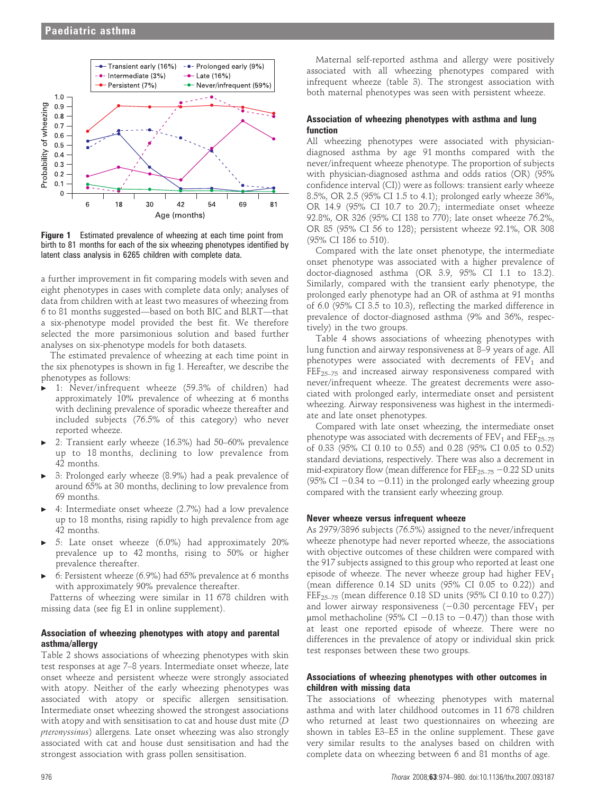

Figure 1 Estimated prevalence of wheezing at each time point from birth to 81 months for each of the six wheezing phenotypes identified by latent class analysis in 6265 children with complete data.

a further improvement in fit comparing models with seven and eight phenotypes in cases with complete data only; analyses of data from children with at least two measures of wheezing from 6 to 81 months suggested—based on both BIC and BLRT—that a six-phenotype model provided the best fit. We therefore selected the more parsimonious solution and based further analyses on six-phenotype models for both datasets.

The estimated prevalence of wheezing at each time point in the six phenotypes is shown in fig 1. Hereafter, we describe the phenotypes as follows:

- 1: Never/infrequent wheeze (59.3% of children) had approximately 10% prevalence of wheezing at 6 months with declining prevalence of sporadic wheeze thereafter and included subjects (76.5% of this category) who never reported wheeze.
- 2: Transient early wheeze  $(16.3%)$  had  $50-60%$  prevalence up to 18 months, declining to low prevalence from 42 months.
- 3: Prolonged early wheeze (8.9%) had a peak prevalence of around 65% at 30 months, declining to low prevalence from 69 months.
- 4: Intermediate onset wheeze (2.7%) had a low prevalence up to 18 months, rising rapidly to high prevalence from age 42 months.
- 5: Late onset wheeze  $(6.0\%)$  had approximately 20% prevalence up to 42 months, rising to 50% or higher prevalence thereafter.
- 6: Persistent wheeze (6.9%) had  $65%$  prevalence at 6 months with approximately 90% prevalence thereafter.

Patterns of wheezing were similar in 11 678 children with missing data (see fig E1 in online supplement).

### Association of wheezing phenotypes with atopy and parental asthma/allergy

Table 2 shows associations of wheezing phenotypes with skin test responses at age 7–8 years. Intermediate onset wheeze, late onset wheeze and persistent wheeze were strongly associated with atopy. Neither of the early wheezing phenotypes was associated with atopy or specific allergen sensitisation. Intermediate onset wheezing showed the strongest associations with atopy and with sensitisation to cat and house dust mite (D pteronyssinus) allergens. Late onset wheezing was also strongly associated with cat and house dust sensitisation and had the strongest association with grass pollen sensitisation.

Maternal self-reported asthma and allergy were positively associated with all wheezing phenotypes compared with infrequent wheeze (table 3). The strongest association with both maternal phenotypes was seen with persistent wheeze.

## Association of wheezing phenotypes with asthma and lung function

All wheezing phenotypes were associated with physiciandiagnosed asthma by age 91 months compared with the never/infrequent wheeze phenotype. The proportion of subjects with physician-diagnosed asthma and odds ratios (OR) (95% confidence interval (CI)) were as follows: transient early wheeze 8.5%, OR 2.5 (95% CI 1.5 to 4.1); prolonged early wheeze 36%, OR 14.9 (95% CI 10.7 to 20.7); intermediate onset wheeze 92.8%, OR 326 (95% CI 138 to 770); late onset wheeze 76.2%, OR 85 (95% CI 56 to 128); persistent wheeze 92.1%, OR 308 (95% CI 186 to 510).

Compared with the late onset phenotype, the intermediate onset phenotype was associated with a higher prevalence of doctor-diagnosed asthma (OR 3.9, 95% CI 1.1 to 13.2). Similarly, compared with the transient early phenotype, the prolonged early phenotype had an OR of asthma at 91 months of 6.0 (95% CI 3.5 to 10.3), reflecting the marked difference in prevalence of doctor-diagnosed asthma (9% and 36%, respectively) in the two groups.

Table 4 shows associations of wheezing phenotypes with lung function and airway responsiveness at 8–9 years of age. All phenotypes were associated with decrements of  $FEV<sub>1</sub>$  and FEF<sub>25-75</sub> and increased airway responsiveness compared with never/infrequent wheeze. The greatest decrements were associated with prolonged early, intermediate onset and persistent wheezing. Airway responsiveness was highest in the intermediate and late onset phenotypes.

Compared with late onset wheezing, the intermediate onset phenotype was associated with decrements of  $FEV<sub>1</sub>$  and  $FEF<sub>25–75</sub>$ of 0.33 (95% CI 0.10 to 0.55) and 0.28 (95% CI 0.05 to 0.52) standard deviations, respectively. There was also a decrement in mid-expiratory flow (mean difference for  $FEF_{25-75} - 0.22$  SD units (95% CI  $-0.34$  to  $-0.11$ ) in the prolonged early wheezing group compared with the transient early wheezing group.

## Never wheeze versus infrequent wheeze

As 2979/3896 subjects (76.5%) assigned to the never/infrequent wheeze phenotype had never reported wheeze, the associations with objective outcomes of these children were compared with the 917 subjects assigned to this group who reported at least one episode of wheeze. The never wheeze group had higher  $FEV<sub>1</sub>$ (mean difference 0.14 SD units (95% CI 0.05 to 0.22)) and FEF<sub>25–75</sub> (mean difference 0.18 SD units (95% CI 0.10 to 0.27)) and lower airway responsiveness  $(-0.30$  percentage FEV<sub>1</sub> per umol methacholine (95% CI  $-0.13$  to  $-0.47$ )) than those with at least one reported episode of wheeze. There were no differences in the prevalence of atopy or individual skin prick test responses between these two groups.

#### Associations of wheezing phenotypes with other outcomes in children with missing data

The associations of wheezing phenotypes with maternal asthma and with later childhood outcomes in 11 678 children who returned at least two questionnaires on wheezing are shown in tables E3–E5 in the online supplement. These gave very similar results to the analyses based on children with complete data on wheezing between 6 and 81 months of age.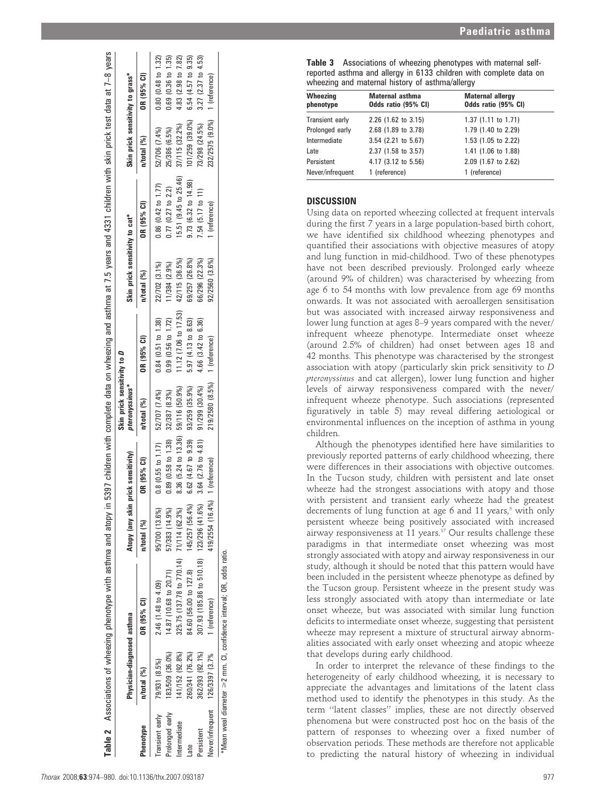| <b>Paediatric asthma</b> |  |
|--------------------------|--|
|--------------------------|--|

|                 |                                 | Table 2 Associations of wheezing phenotype with asthma and atopy in |                                    |                                     |                             |                       |                                | 5397 children with complete data on wheezing and asthma at 7.5 years and 4331 children with skin prick test data at 7–8 years |                                  |                       |
|-----------------|---------------------------------|---------------------------------------------------------------------|------------------------------------|-------------------------------------|-----------------------------|-----------------------|--------------------------------|-------------------------------------------------------------------------------------------------------------------------------|----------------------------------|-----------------------|
|                 |                                 |                                                                     |                                    |                                     | Skin prick sensitivity to D |                       |                                |                                                                                                                               |                                  |                       |
|                 | Physician-diagnosed asthma      |                                                                     | Atopy (any skin prick sensitivity) |                                     | pteronyssinus*              |                       | Skin prick sensitivity to cat* |                                                                                                                               | Skin prick sensitivity to grass* |                       |
| Phenotype       | n/total (%)                     | OR (95% CI)                                                         | $n$ /total $(%)$                   | OR (95% CI)                         | n/total (%)                 | OR (95% CI)           | n/total (%)                    | OR (95% CI)                                                                                                                   | n/total (%)                      | OR (95% CI)           |
| Transient early | 79/931 (8.5%)                   | 2.46 (1.48 to 4.09)                                                 | 95/700 (13.6%)                     | $0.8$ (0.55 to 1.17)                | 52/707 (7.4%)               | $0.84$ (0.51 to 1.38) | 22/702 (3.1%)                  | $0.86$ (0.42 to 1.77)                                                                                                         | 52/706 (7.4%)                    | 0.80 (0.48 to 1.32)   |
| Prolonged early | 83/509 (36.0%)                  | 14.87 (10.68 to 20.71)                                              | $7/383$ $(14.9\%)$                 | $0.89$ (0.58 to 1.38)               | 32/387 (8.3%)               | $0.99$ (0.56 to 1.72) | 11/384 (2.9%)                  | $0.77$ (0.27 to 2.2)                                                                                                          | 25/386 (6.5%)                    | $0.69$ (0.36 to 1.35) |
| Intermediate    | (41/152 (92.8%)                 | 325.75 (137.78 to 770.14) 71/114 (62.3%)                            |                                    | 8.36 (5.24 to 13.36) 59/116 (50.9%) |                             | 11.12 (7.06 to 17.53) | 42/115 (36.5%)                 | 15.51 (9.45 to 25.46)                                                                                                         | 37/115 (32.2%)                   | 4.83 (2.98 to 7.82)   |
|                 | 260/341 (76.2%)                 | 84.60 (56.00 to 127.8)                                              | 145/257 (56.4%)                    | 6.62 (4.67 to 9.39)                 | 93/259 (35.9%)              | 5.97 (4.13 to 8.63)   | 69/257 (26.8%)                 | 9.73 (6.32 to 14.98)                                                                                                          | 101/259 (39.0%)                  | 6.54 (4.57 to 9.35)   |
| Persistent      | 362/393 (92.1%)                 | 307.93 (185.86 to 510.18) 123/296 (41.6%)                           |                                    | 3.64 $(2.76 \text{ to } 4.81)$      | 91/299 (30.4%)              | 4.66 (3.42 to 6.36)   | 66/296 (22.3%)                 | 7.54 $(5.17 \text{ to } 11)$                                                                                                  | 73/298 (24.5%)                   | 3.27 (2.37 to 4.53)   |
|                 | lever/infrequent 126/3397 (3.7% | (reference)                                                         | 119/2554 (16.4%)                   | 1 (reference)                       | 219/2580 (8.5%)             | 1 (reference)         | 92/2560 (3.6%)                 | (reference)                                                                                                                   | 232/2575 (9.0%)                  | 1 (reference)         |
|                 |                                 | Mean weal diameter ≥2 mm. Cl, confidence interval; OR, odds ratio   |                                    |                                     |                             |                       |                                |                                                                                                                               |                                  |                       |

Table 3 Associations of wheezing phenotypes with maternal selfreported asthma and allergy in 6133 children with complete data on wheezing and maternal history of asthma/allergy

| Wheezing<br>phenotype | Maternal asthma<br>Odds ratio (95% CI) | <b>Maternal allergy</b><br>Odds ratio (95% CI) |
|-----------------------|----------------------------------------|------------------------------------------------|
| Transient early       | 2.26 (1.62 to 3.15)                    | 1.37 (1.11 to 1.71)                            |
| Prolonged early       | 2.68 (1.89 to 3.78)                    | 1.79 (1.40 to 2.29)                            |
| Intermediate          | 3.54 (2.21 to 5.67)                    | 1.53 (1.05 to 2.22)                            |
| Late                  | 2.37 (1.58 to 3.57)                    | 1.41 (1.06 to 1.88)                            |
| Persistent            | 4.17 (3.12 to 5.56)                    | 2.09 (1.67 to 2.62)                            |
| Never/infrequent      | 1 (reference)                          | 1 (reference)                                  |

## **DISCUSSION**

Using data on reported wheezing collected at frequent intervals during the first 7 years in a large population-based birth cohort, we have identified six childhood wheezing phenotypes and quantified their associations with objective measures of atopy and lung function in mid-childhood. Two of these phenotypes have not been described previously. Prolonged early wheeze (around 9% of children) was characterised by wheezing from age 6 to 54 months with low prevalence from age 69 months onwards. It was not associated with aeroallergen sensitisation but was associated with increased airway responsiveness and lower lung function at ages 8–9 years compared with the never/ infrequent wheeze phenotype. Intermediate onset wheeze (around 2.5% of children) had onset between ages 18 and 42 months. This phenotype was characterised by the strongest association with atopy (particularly skin prick sensitivity to D pteronyssinus and cat allergen), lower lung function and higher levels of airway responsiveness compared with the never/ infrequent wheeze phenotype. Such associations (represented figuratively in table 5) may reveal differing aetiological or environmental influences on the inception of asthma in young children.

Although the phenotypes identified here have similarities to previously reported patterns of early childhood wheezing, there were differences in their associations with objective outcomes. In the Tucson study, children with persistent and late onset wheeze had the strongest associations with atopy and those with persistent and transient early wheeze had the greatest decrements of lung function at age 6 and 11 years,<sup>5</sup> with only persistent wheeze being positively associated with increased airway responsiveness at  $11$  years.<sup>17</sup> Our results challenge these paradigms in that intermediate onset wheezing was most strongly associated with atopy and airway responsiveness in our study, although it should be noted that this pattern would have been included in the persistent wheeze phenotype as defined by the Tucson group. Persistent wheeze in the present study was less strongly associated with atopy than intermediate or late onset wheeze, but was associated with similar lung function deficits to intermediate onset wheeze, suggesting that persistent wheeze may represent a mixture of structural airway abnormalities associated with early onset wheezing and atopic wheeze that develops during early childhood.

In order to interpret the relevance of these findings to the heterogeneity of early childhood wheezing, it is necessary to appreciate the advantages and limitations of the latent class method used to identify the phenotypes in this study. As the term ''latent classes'' implies, these are not directly observed phenomena but were constructed post hoc on the basis of the pattern of responses to wheezing over a fixed number of observation periods. These methods are therefore not applicable to predicting the natural history of wheezing in individual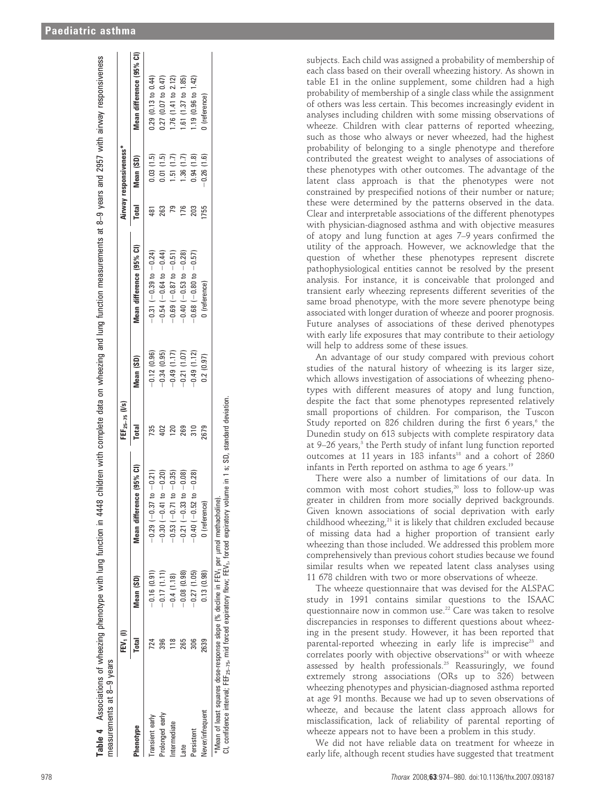|                  | FEV <sub>1</sub> (I) |               |                                | $FEF_{25-75}$ (I/s) |               |                                   |            | Airway responsiveness* |                          |
|------------------|----------------------|---------------|--------------------------------|---------------------|---------------|-----------------------------------|------------|------------------------|--------------------------|
| henotype         | Total                | Mean (SD)     | (95% Cl)<br>Mean difference    | Total               | Mean (SD)     | Mean difference (95% CI)          |            | Total Mean (SD)        | Mean difference (95% CI) |
| ransient early   |                      | $-0.16(0.91)$ | $-0.21$<br>$0.29(-0.37)$ to    | 735                 | $-0.12(0.96)$ | $-0.31$ ( $-0.39$ to $-0.24$ )    | <u>នា</u>  | 0.03(1.5)              | $0.29$ (0.13 to $0.44$ ) |
| Prolonged early  | 396                  | $-0.17(1.11)$ | $-0.20$<br>$0.30(-0.41)$ to    | 402                 | $-0.34(0.95)$ | $-0.54 (-0.64 \text{ to } -0.44)$ | 263        | 0.01(1.5)              | $0.27$ (0.07 to 0.47)    |
| itermediate      |                      | $-0.4(1.18)$  | $-0.35$<br>$-0.53 (-0.71)$ to  | <b>120</b>          | $-0.49(1.17)$ | $-0.69$ ( $-0.87$ to $-0.51$ )    |            | 1.51(1.7)              | 1.76 $(1.41$ to 2.12)    |
| ate              | 265                  | $-0.08(0.98)$ | $-0.08$<br>$-0.21(-0.33)$ to   | 269                 | $-0.21(1.07)$ | $-0.40(-0.53 \text{ to } -0.28)$  | <b>I76</b> | 1.36(1.7)              | 1.61 (1.37 to 1.85)      |
| ersistent        | 306                  | $-0.27(1.05)$ | $-0.28$<br>$-0.40$ $(-0.52$ to | $\frac{1}{3}$       | $-0.49(1.12)$ | $-0.68$ ( $-0.80$ to $-0.57$ )    | 203        | 0.94(1.8)              | $1.19$ (0.96 to 1.42)    |
| lever/intrequent | 2639                 | 0.13(0.98)    | 0 (reference)                  | 2679                | 0.2(0.97)     | 0 (reference)                     | 755        | $-0.26(1.6)$           | 0 (reference)            |

Table 4 Associations of wheezing phenotype with lung function in 4448 children with complete data on wheezing and lung function measurements at 8-9 vears and 2957 with airway responsiveness

Associations of wheezing phenotype with lung function in 4448 children with complete data on wheezing and lung function measurements at 8–9 years and 2957 with airway responsiveness

subjects. Each child was assigned a probability of membership of each class based on their overall wheezing history. As shown in table E1 in the online supplement, some children had a high probability of membership of a single class while the assignment of others was less certain. This becomes increasingly evident in analyses including children with some missing observations of wheeze. Children with clear patterns of reported wheezing, such as those who always or never wheezed, had the highest probability of belonging to a single phenotype and therefore contributed the greatest weight to analyses of associations of these phenotypes with other outcomes. The advantage of the latent class approach is that the phenotypes were not constrained by prespecified notions of their number or nature; these were determined by the patterns observed in the data. Clear and interpretable associations of the different phenotypes with physician-diagnosed asthma and with objective measures of atopy and lung function at ages 7–9 years confirmed the utility of the approach. However, we acknowledge that the question of whether these phenotypes represent discrete pathophysiological entities cannot be resolved by the present analysis. For instance, it is conceivable that prolonged and transient early wheezing represents different severities of the same broad phenotype, with the more severe phenotype being associated with longer duration of wheeze and poorer prognosis. Future analyses of associations of these derived phenotypes with early life exposures that may contribute to their aetiology will help to address some of these issues.

An advantage of our study compared with previous cohort studies of the natural history of wheezing is its larger size, which allows investigation of associations of wheezing phenotypes with different measures of atopy and lung function, despite the fact that some phenotypes represented relatively small proportions of children. For comparison, the Tuscon Study reported on 826 children during the first 6 years, <sup>6</sup> the Dunedin study on 613 subjects with complete respiratory data at 9–26 years, <sup>3</sup> the Perth study of infant lung function reported outcomes at 11 years in 183 infants<sup>18</sup> and a cohort of 2860 infants in Perth reported on asthma to age 6 years.<sup>19</sup>

There were also a number of limitations of our data. In common with most cohort studies,<sup>20</sup> loss to follow-up was greater in children from more socially deprived backgrounds. Given known associations of social deprivation with early childhood wheezing, $21$  it is likely that children excluded because of missing data had a higher proportion of transient early wheezing than those included. We addressed this problem more comprehensively than previous cohort studies because we found similar results when we repeated latent class analyses using 11 678 children with two or more observations of wheeze.

The wheeze questionnaire that was devised for the ALSPAC study in 1991 contains similar questions to the ISAAC questionnaire now in common use.22 Care was taken to resolve discrepancies in responses to different questions about wheezing in the present study. However, it has been reported that parental-reported wheezing in early life is imprecise<sup>23</sup> and correlates poorly with objective observations<sup>24</sup> or with wheeze assessed by health professionals.<sup>25</sup> Reassuringly, we found extremely strong associations (ORs up to 326) between wheezing phenotypes and physician-diagnosed asthma reported at age 91 months. Because we had up to seven observations of wheeze, and because the latent class approach allows for misclassification, lack of reliability of parental reporting of wheeze appears not to have been a problem in this study.

We did not have reliable data on treatment for wheeze in early life, although recent studies have suggested that treatment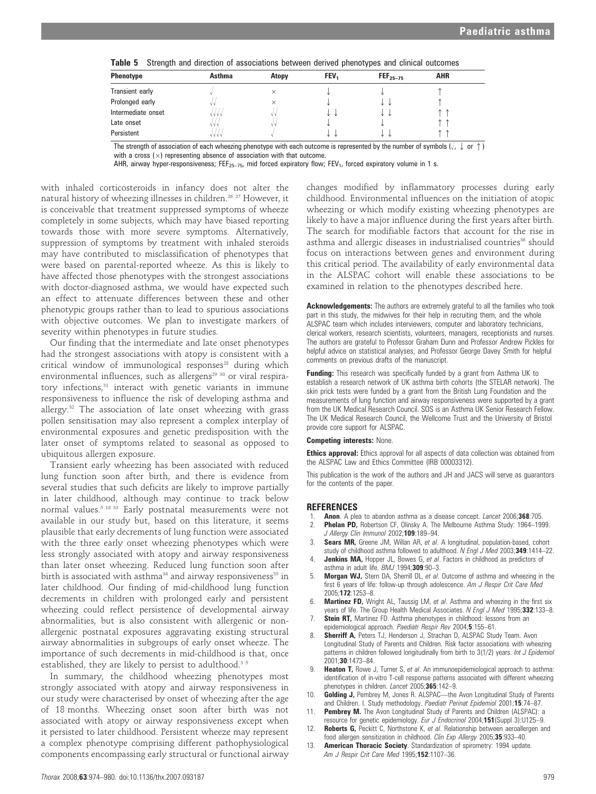| Phenotype          | Asthma  | <b>Atopy</b> | FEV <sub>1</sub> | $FEF25-75$ | <b>AHR</b> |
|--------------------|---------|--------------|------------------|------------|------------|
| Transient early    |         |              |                  |            |            |
| Prolonged early    |         |              |                  |            |            |
| Intermediate onset | V V V 1 |              | ◡                |            |            |
| Late onset         | VVI     |              |                  |            |            |
| Persistent         | V V V V |              | ◡                |            |            |

Table 5 Strength and direction of associations between derived phenotypes and clinical outcomes

The strength of association of each wheezing phenotype with each outcome is represented by the number of symbols  $(\sqrt{v}, \sqrt{v})$  or  $\uparrow$ )

with a cross  $(x)$  representing absence of association with that outcome.

AHR, airway hyper-responsiveness; FEF<sub>25–75</sub>, mid forced expiratory flow; FEV<sub>1</sub>, forced expiratory volume in 1 s.

with inhaled corticosteroids in infancy does not alter the natural history of wheezing illnesses in children.<sup>26 27</sup> However, it is conceivable that treatment suppressed symptoms of wheeze completely in some subjects, which may have biased reporting towards those with more severe symptoms. Alternatively, suppression of symptoms by treatment with inhaled steroids may have contributed to misclassification of phenotypes that were based on parental-reported wheeze. As this is likely to have affected those phenotypes with the strongest associations with doctor-diagnosed asthma, we would have expected such an effect to attenuate differences between these and other phenotypic groups rather than to lead to spurious associations with objective outcomes. We plan to investigate markers of severity within phenotypes in future studies.

Our finding that the intermediate and late onset phenotypes had the strongest associations with atopy is consistent with a critical window of immunological responses<sup>28</sup> during which environmental influences, such as allergens<sup>29 30</sup> or viral respiratory infections,<sup>31</sup> interact with genetic variants in immune responsiveness to influence the risk of developing asthma and allergy.<sup>32</sup> The association of late onset wheezing with grass pollen sensitisation may also represent a complex interplay of environmental exposures and genetic predisposition with the later onset of symptoms related to seasonal as opposed to ubiquitous allergen exposure.

Transient early wheezing has been associated with reduced lung function soon after birth, and there is evidence from several studies that such deficits are likely to improve partially in later childhood, although may continue to track below normal values.5 18 33 Early postnatal measurements were not available in our study but, based on this literature, it seems plausible that early decrements of lung function were associated with the three early onset wheezing phenotypes which were less strongly associated with atopy and airway responsiveness than later onset wheezing. Reduced lung function soon after birth is associated with asthma<sup>34</sup> and airway responsiveness<sup>35</sup> in later childhood. Our finding of mid-childhood lung function decrements in children with prolonged early and persistent wheezing could reflect persistence of developmental airway abnormalities, but is also consistent with allergenic or nonallergenic postnatal exposures aggravating existing structural airway abnormalities in subgroups of early onset wheeze. The importance of such decrements in mid-childhood is that, once established, they are likely to persist to adulthood.<sup>3 5</sup>

In summary, the childhood wheezing phenotypes most strongly associated with atopy and airway responsiveness in our study were characterised by onset of wheezing after the age of 18 months. Wheezing onset soon after birth was not associated with atopy or airway responsiveness except when it persisted to later childhood. Persistent wheeze may represent a complex phenotype comprising different pathophysiological components encompassing early structural or functional airway

changes modified by inflammatory processes during early childhood. Environmental influences on the initiation of atopic wheezing or which modify existing wheezing phenotypes are likely to have a major influence during the first years after birth. The search for modifiable factors that account for the rise in asthma and allergic diseases in industrialised countries<sup>36</sup> should focus on interactions between genes and environment during this critical period. The availability of early environmental data in the ALSPAC cohort will enable these associations to be examined in relation to the phenotypes described here.

Acknowledgements: The authors are extremely grateful to all the families who took part in this study, the midwives for their help in recruiting them, and the whole ALSPAC team which includes interviewers, computer and laboratory technicians, clerical workers, research scientists, volunteers, managers, receptionists and nurses. The authors are grateful to Professor Graham Dunn and Professor Andrew Pickles for helpful advice on statistical analyses, and Professor George Davey Smith for helpful comments on previous drafts of the manuscript.

**Funding:** This research was specifically funded by a grant from Asthma UK to establish a research network of UK asthma birth cohorts (the STELAR network). The skin prick tests were funded by a grant from the British Lung Foundation and the measurements of lung function and airway responsiveness were supported by a grant from the UK Medical Research Council. SOS is an Asthma UK Senior Research Fellow. The UK Medical Research Council, the Wellcome Trust and the University of Bristol provide core support for ALSPAC.

#### Competing interests: None.

**Ethics approval:** Ethics approval for all aspects of data collection was obtained from the ALSPAC Law and Ethics Committee (IRB 00003312).

This publication is the work of the authors and JH and JACS will serve as guarantors for the contents of the paper.

#### REFERENCES

- Anon. A plea to abandon asthma as a disease concept. Lancet 2006;368:705.
- Phelan PD, Robertson CF, Olinsky A. The Melbourne Asthma Study: 1964–1999. J Allergy Clin Immunol 2002;109:189–94.
- Sears MR, Greene JM, Willan AR, et al. A longitudinal, population-based, cohort study of childhood asthma followed to adulthood. N Engl J Med 2003;349:1414-22.
- Jenkins MA, Hopper JL, Bowes G, et al. Factors in childhood as predictors of asthma in adult life. BMJ 1994;309:90–3.
- **Morgan WJ,** Stern DA, Sherrill DL, et al. Outcome of asthma and wheezing in the first 6 years of life: follow-up through adolescence. Am J Respir Crit Care Med 2005;172:1253–8.
- 6. Martinez FD, Wright AL, Taussig LM, et al. Asthma and wheezing in the first six years of life. The Group Health Medical Associates. N Engl J Med 1995;332:133-8.
- Stein RT, Martinez FD. Asthma phenotypes in childhood: lessons from an epidemiological approach. Paediatr Respir Rev 2004;5:155–61.
- Sherriff A, Peters TJ, Henderson J, Strachan D, ALSPAC Study Team. Avon Longitudinal Study of Parents and Children. Risk factor associations with wheezing patterns in children followed longitudinally from birth to 3(1/2) years. Int J Epidemiol 2001;30:1473–84.
- 9. **Heaton T,** Rowe J, Turner S, et al. An immunoepidemiological approach to asthma: identification of in-vitro T-cell response patterns associated with different wheezing phenotypes in children. Lancet 2005;365:142–9.
- 10. **Golding J, Pembrey M, Jones R. ALSPAC—the Avon Longitudinal Study of Parents** and Children. I. Study methodology. Paediatr Perinat Epidemiol 2001;15:74–87.
- Pembrey M. The Avon Longitudinal Study of Parents and Children (ALSPAC): a resource for genetic epidemiology. Eur J Endocrinol 2004;151(Suppl 3):U125–9.
- 12. Roberts G, Peckitt C, Northstone K, et al. Relationship between aeroallergen and food allergen sensitization in childhood. Clin Exp Allergy 2005;35:933-40.
- 13. **American Thoracic Society**. Standardization of spirometry: 1994 update. Am J Respir Crit Care Med 1995;152:1107-36.